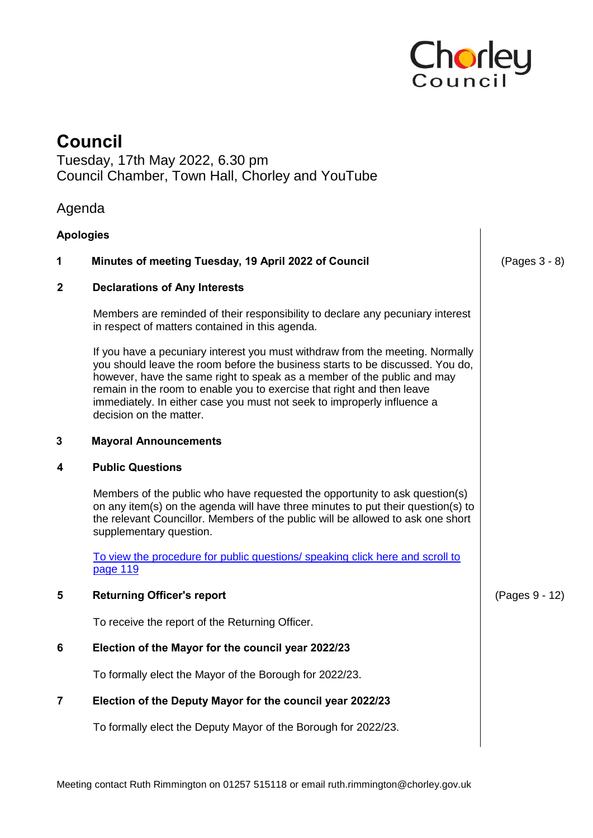

## **Council**

Tuesday, 17th May 2022, 6.30 pm Council Chamber, Town Hall, Chorley and YouTube

## Agenda

| <b>Apologies</b>                                                                                                                                                                                                                                                                                                                                                                                                          |                |
|---------------------------------------------------------------------------------------------------------------------------------------------------------------------------------------------------------------------------------------------------------------------------------------------------------------------------------------------------------------------------------------------------------------------------|----------------|
| Minutes of meeting Tuesday, 19 April 2022 of Council                                                                                                                                                                                                                                                                                                                                                                      | (Pages 3 - 8)  |
| <b>Declarations of Any Interests</b>                                                                                                                                                                                                                                                                                                                                                                                      |                |
| Members are reminded of their responsibility to declare any pecuniary interest<br>in respect of matters contained in this agenda.                                                                                                                                                                                                                                                                                         |                |
| If you have a pecuniary interest you must withdraw from the meeting. Normally<br>you should leave the room before the business starts to be discussed. You do,<br>however, have the same right to speak as a member of the public and may<br>remain in the room to enable you to exercise that right and then leave<br>immediately. In either case you must not seek to improperly influence a<br>decision on the matter. |                |
| <b>Mayoral Announcements</b>                                                                                                                                                                                                                                                                                                                                                                                              |                |
| <b>Public Questions</b>                                                                                                                                                                                                                                                                                                                                                                                                   |                |
| Members of the public who have requested the opportunity to ask question(s)<br>on any item(s) on the agenda will have three minutes to put their question(s) to<br>the relevant Councillor. Members of the public will be allowed to ask one short<br>supplementary question.                                                                                                                                             |                |
| To view the procedure for public questions/ speaking click here and scroll to<br>page 119                                                                                                                                                                                                                                                                                                                                 |                |
| <b>Returning Officer's report</b>                                                                                                                                                                                                                                                                                                                                                                                         | (Pages 9 - 12) |
| To receive the report of the Returning Officer.                                                                                                                                                                                                                                                                                                                                                                           |                |
| Election of the Mayor for the council year 2022/23                                                                                                                                                                                                                                                                                                                                                                        |                |
| To formally elect the Mayor of the Borough for 2022/23.                                                                                                                                                                                                                                                                                                                                                                   |                |
| Election of the Deputy Mayor for the council year 2022/23                                                                                                                                                                                                                                                                                                                                                                 |                |
| To formally elect the Deputy Mayor of the Borough for 2022/23.                                                                                                                                                                                                                                                                                                                                                            |                |
|                                                                                                                                                                                                                                                                                                                                                                                                                           |                |